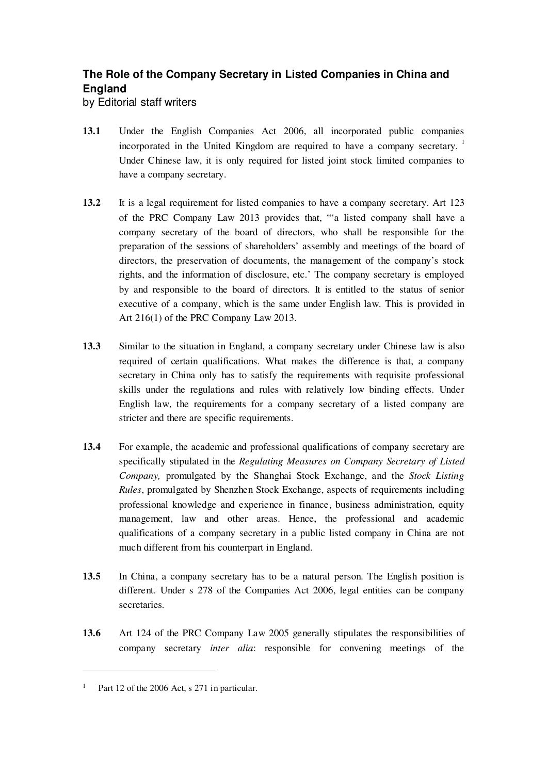## **The Role of the Company Secretary in Listed Companies in China and England**

by Editorial staff writers

- **13.1** Under the English Companies Act 2006, all incorporated public companies incorporated in the United Kingdom are required to have a company secretary.<sup>1</sup> Under Chinese law, it is only required for listed joint stock limited companies to have a company secretary.
- **13.2** It is a legal requirement for listed companies to have a company secretary. Art 123 of the PRC Company Law 2013 provides that, "'a listed company shall have a company secretary of the board of directors, who shall be responsible for the preparation of the sessions of shareholders' assembly and meetings of the board of directors, the preservation of documents, the management of the company's stock rights, and the information of disclosure, etc.' The company secretary is employed by and responsible to the board of directors. It is entitled to the status of senior executive of a company, which is the same under English law. This is provided in Art 216(1) of the PRC Company Law 2013.
- **13.3** Similar to the situation in England, a company secretary under Chinese law is also required of certain qualifications. What makes the difference is that, a company secretary in China only has to satisfy the requirements with requisite professional skills under the regulations and rules with relatively low binding effects. Under English law, the requirements for a company secretary of a listed company are stricter and there are specific requirements.
- **13.4** For example, the academic and professional qualifications of company secretary are specifically stipulated in the *Regulating Measures on Company Secretary of Listed Company,* promulgated by the Shanghai Stock Exchange, and the *Stock Listing Rules*, promulgated by Shenzhen Stock Exchange, aspects of requirements including professional knowledge and experience in finance, business administration, equity management, law and other areas. Hence, the professional and academic qualifications of a company secretary in a public listed company in China are not much different from his counterpart in England.
- **13.5** In China, a company secretary has to be a natural person. The English position is different. Under s 278 of the Companies Act 2006, legal entities can be company secretaries.
- **13.6** Art 124 of the PRC Company Law 2005 generally stipulates the responsibilities of company secretary *inter alia*: responsible for convening meetings of the

 $\overline{a}$ 

<sup>&</sup>lt;sup>1</sup> Part 12 of the 2006 Act, s 271 in particular.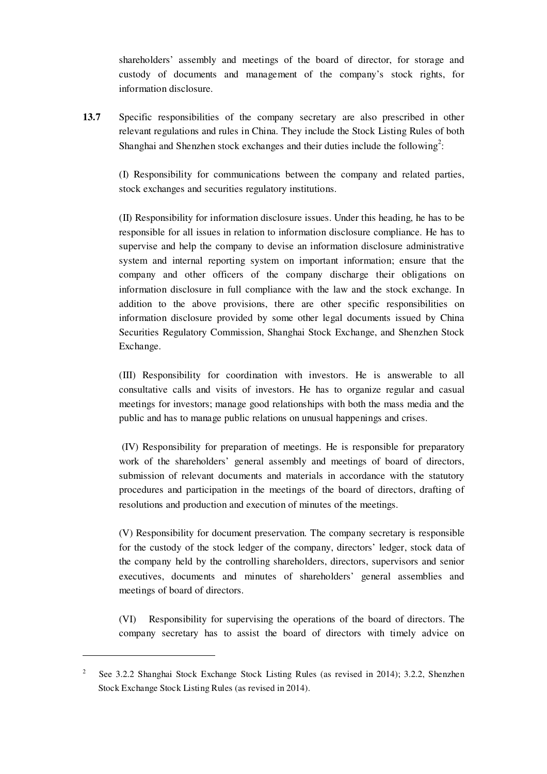shareholders' assembly and meetings of the board of director, for storage and custody of documents and management of the company's stock rights, for information disclosure.

**13.7** Specific responsibilities of the company secretary are also prescribed in other relevant regulations and rules in China. They include the Stock Listing Rules of both Shanghai and Shenzhen stock exchanges and their duties include the following<sup>2</sup>:

(I) Responsibility for communications between the company and related parties, stock exchanges and securities regulatory institutions.

(II) Responsibility for information disclosure issues. Under this heading, he has to be responsible for all issues in relation to information disclosure compliance. He has to supervise and help the company to devise an information disclosure administrative system and internal reporting system on important information; ensure that the company and other officers of the company discharge their obligations on information disclosure in full compliance with the law and the stock exchange. In addition to the above provisions, there are other specific responsibilities on information disclosure provided by some other legal documents issued by China Securities Regulatory Commission, Shanghai Stock Exchange, and Shenzhen Stock Exchange.

(III) Responsibility for coordination with investors. He is answerable to all consultative calls and visits of investors. He has to organize regular and casual meetings for investors; manage good relationships with both the mass media and the public and has to manage public relations on unusual happenings and crises.

 (IV) Responsibility for preparation of meetings. He is responsible for preparatory work of the shareholders' general assembly and meetings of board of directors, submission of relevant documents and materials in accordance with the statutory procedures and participation in the meetings of the board of directors, drafting of resolutions and production and execution of minutes of the meetings.

(V) Responsibility for document preservation. The company secretary is responsible for the custody of the stock ledger of the company, directors' ledger, stock data of the company held by the controlling shareholders, directors, supervisors and senior executives, documents and minutes of shareholders' general assemblies and meetings of board of directors.

(VI) Responsibility for supervising the operations of the board of directors. The company secretary has to assist the board of directors with timely advice on

 $\overline{a}$ 

<sup>&</sup>lt;sup>2</sup> See 3.2.2 Shanghai Stock Exchange Stock Listing Rules (as revised in 2014); 3.2.2, Shenzhen Stock Exchange Stock Listing Rules (as revised in 2014).